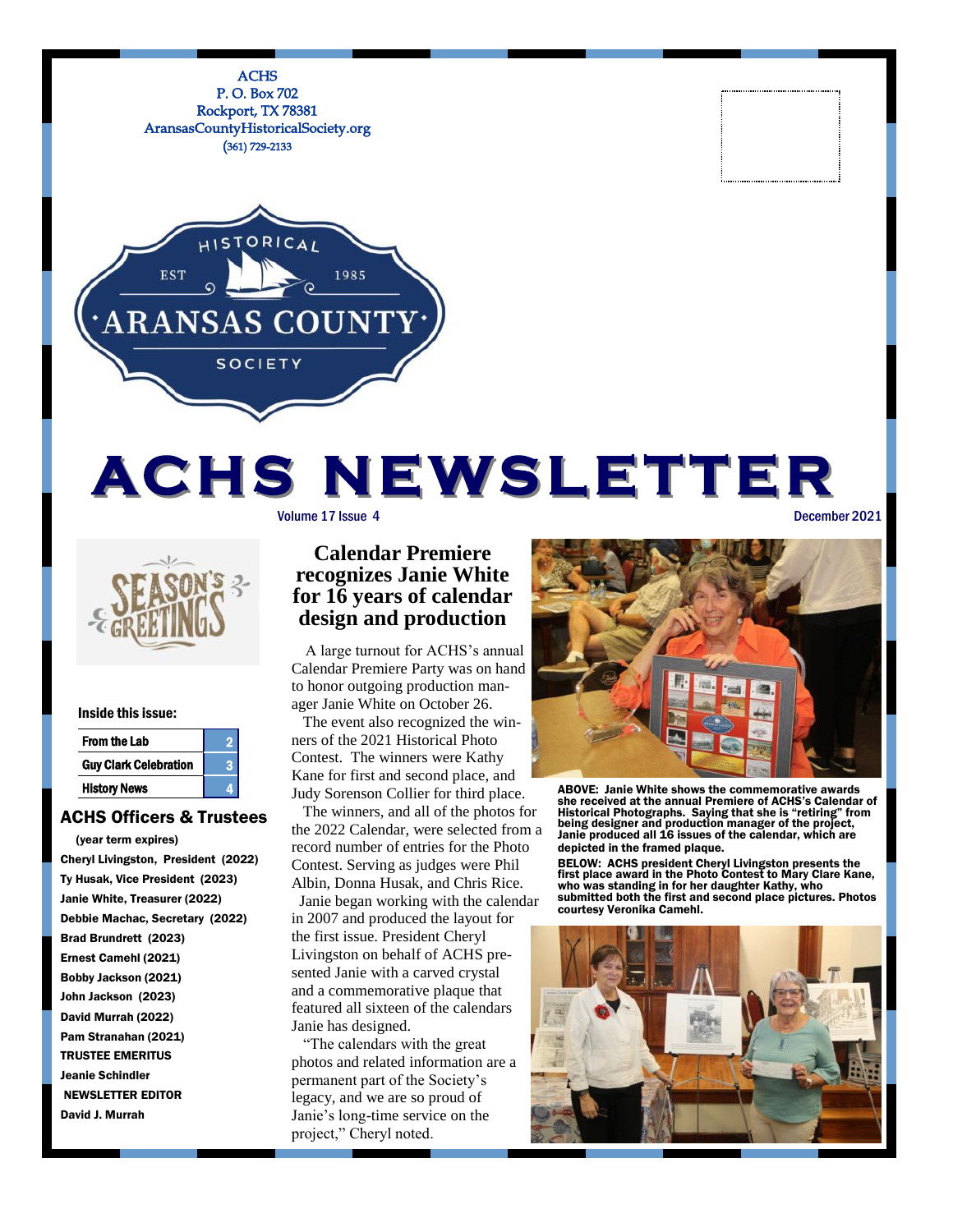

# Volume 17 Issue 4 December 2021 **AC H S N E WS L E T T E R**



#### Inside this issue:

| <b>From the Lab</b>          |  |
|------------------------------|--|
| <b>Guy Clark Celebration</b> |  |
| <b>History News</b>          |  |

#### ACHS Officers & Trustees

 (year term expires) Cheryl Livingston, President (2022) Ty Husak, Vice President (2023) Janie White, Treasurer (2022) Debbie Machac, Secretary (2022) Brad Brundrett (2023) Ernest Camehl (2021) Bobby Jackson (2021) John Jackson (2023) David Murrah (2022) Pam Stranahan (2021) TRUSTEE EMERITUS Jeanie Schindler NEWSLETTER EDITOR David J. Murrah

### **Calendar Premiere recognizes Janie White for 16 years of calendar design and production**

 A large turnout for ACHS's annual Calendar Premiere Party was on hand to honor outgoing production manager Janie White on October 26.

 The event also recognized the winners of the 2021 Historical Photo Contest. The winners were Kathy Kane for first and second place, and Judy Sorenson Collier for third place.

 The winners, and all of the photos for the 2022 Calendar, were selected from a record number of entries for the Photo Contest. Serving as judges were Phil Albin, Donna Husak, and Chris Rice. Janie began working with the calendar in 2007 and produced the layout for the first issue. President Cheryl Livingston on behalf of ACHS presented Janie with a carved crystal and a commemorative plaque that featured all sixteen of the calendars Janie has designed.

 "The calendars with the great photos and related information are a permanent part of the Society's legacy, and we are so proud of Janie's long-time service on the project," Cheryl noted.



ABOVE: Janie White shows the commemorative awards she received at the annual Premiere of ACHS's Calendar of Historical Photographs. Saying that she is "retiring" from being designer and production manager of the project, Janie produced all 16 issues of the calendar, which are depicted in the framed plaque.

BELOW: ACHS president Cheryl Livingston presents the first place award in the Photo Contest to Mary Clare Kane, who was standing in for her daughter Kathy, who submitted both the first and second place pictures. Photos courtesy Veronika Camehl.

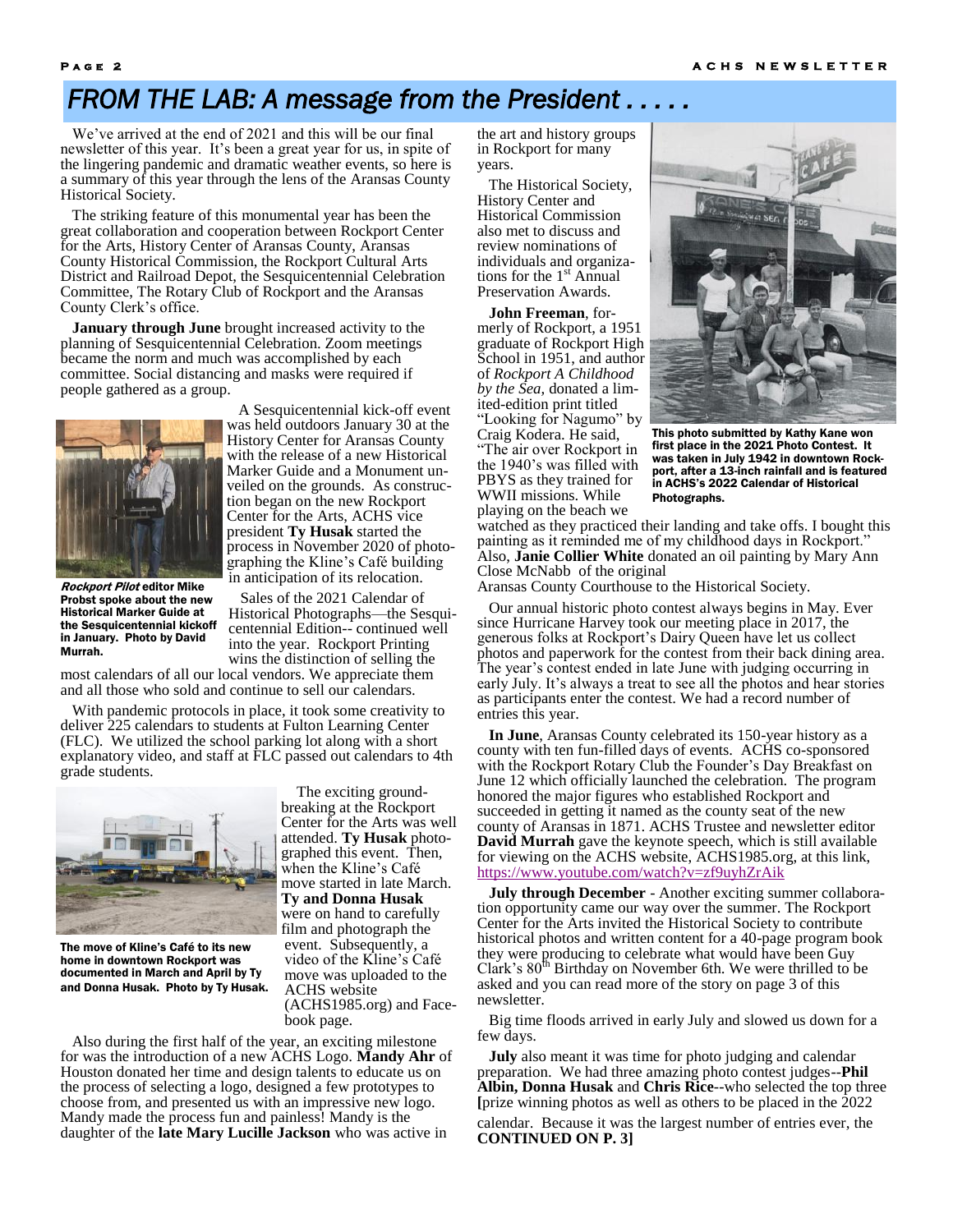## **FROM THE LAB: A message from the President.**

 We've arrived at the end of 2021 and this will be our final newsletter of this year. It's been a great year for us, in spite of the lingering pandemic and dramatic weather events, so here is a summary of this year through the lens of the Aransas County Historical Society.

 The striking feature of this monumental year has been the great collaboration and cooperation between Rockport Center for the Arts, History Center of Aransas County, Aransas County Historical Commission, the Rockport Cultural Arts District and Railroad Depot, the Sesquicentennial Celebration Committee, The Rotary Club of Rockport and the Aransas County Clerk's office.

 **January through June** brought increased activity to the planning of Sesquicentennial Celebration. Zoom meetings became the norm and much was accomplished by each committee. Social distancing and masks were required if people gathered as a group.



Rockport Pilot editor Mike Probst spoke about the new Historical Marker Guide at the Sesquicentennial kickoff in January. Photo by David Murrah.

 A Sesquicentennial kick-off event was held outdoors January 30 at the History Center for Aransas County with the release of a new Historical Marker Guide and a Monument unveiled on the grounds. As construction began on the new Rockport Center for the Arts, ACHS vice president **Ty Husak** started the process in November 2020 of photographing the Kline's Café building in anticipation of its relocation.

 Sales of the 2021 Calendar of Historical Photographs—the Sesquicentennial Edition-- continued well into the year. Rockport Printing wins the distinction of selling the

most calendars of all our local vendors. We appreciate them and all those who sold and continue to sell our calendars.

 With pandemic protocols in place, it took some creativity to deliver 225 calendars to students at Fulton Learning Center (FLC). We utilized the school parking lot along with a short explanatory video, and staff at FLC passed out calendars to 4th grade students.



The move of Kline's Café to its new home in downtown Rockport was documented in March and April by Ty and Donna Husak. Photo by Ty Husak.

 The exciting groundbreaking at the Rockport Center for the Arts was well attended. **Ty Husak** photographed this event. Then, when the Kline's Café move started in late March. **Ty and Donna Husak** were on hand to carefully film and photograph the event. Subsequently, a video of the Kline's Café move was uploaded to the ACHS website (ACHS1985.org) and Facebook page.

 Also during the first half of the year, an exciting milestone for was the introduction of a new ACHS Logo. **Mandy Ahr** of Houston donated her time and design talents to educate us on the process of selecting a logo, designed a few prototypes to choose from, and presented us with an impressive new logo. Mandy made the process fun and painless! Mandy is the daughter of the **late Mary Lucille Jackson** who was active in

the art and history groups in Rockport for many years.

 The Historical Society, History Center and Historical Commission also met to discuss and review nominations of individuals and organizations for the  $1<sup>st</sup>$  Annual Preservation Awards.

 **John Freeman**, formerly of Rockport, a 1951 graduate of Rockport High School in 1951, and author of *Rockport A Childhood by the Sea,* donated a limited-edition print titled "Looking for Nagumo" by Craig Kodera. He said, "The air over Rockport in the 1940's was filled with PBYS as they trained for WWII missions. While playing on the beach we



This photo submitted by Kathy Kane won first place in the 2021 Photo Contest. It was taken in July 1942 in downtown Rockport, after a 13-inch rainfall and is featured in ACHS's 2022 Calendar of Historical Photographs.

watched as they practiced their landing and take offs. I bought this painting as it reminded me of my childhood days in Rockport." Also, **Janie Collier White** donated an oil painting by Mary Ann Close McNabb of the original

Aransas County Courthouse to the Historical Society.

 Our annual historic photo contest always begins in May. Ever since Hurricane Harvey took our meeting place in 2017, the generous folks at Rockport's Dairy Queen have let us collect photos and paperwork for the contest from their back dining area. The year's contest ended in late June with judging occurring in early July. It's always a treat to see all the photos and hear stories as participants enter the contest. We had a record number of entries this year.

 **In June**, Aransas County celebrated its 150-year history as a county with ten fun-filled days of events. ACHS co-sponsored with the Rockport Rotary Club the Founder's Day Breakfast on June 12 which officially launched the celebration. The program honored the major figures who established Rockport and succeeded in getting it named as the county seat of the new county of Aransas in 1871. ACHS Trustee and newsletter editor **David Murrah** gave the keynote speech, which is still available for viewing on the ACHS website, ACHS1985.org, at this link, <https://www.youtube.com/watch?v=zf9uyhZrAik>

 **July through December** - Another exciting summer collaboration opportunity came our way over the summer. The Rockport Center for the Arts invited the Historical Society to contribute historical photos and written content for a 40-page program book they were producing to celebrate what would have been Guy Clark's  $80^{\text{th}}$  Birthday on November 6th. We were thrilled to be asked and you can read more of the story on page 3 of this newsletter.

 Big time floods arrived in early July and slowed us down for a few days.

 **July** also meant it was time for photo judging and calendar preparation. We had three amazing photo contest judges--**Phil Albin, Donna Husak** and **Chris Rice**--who selected the top three **[**prize winning photos as well as others to be placed in the 2022 calendar. Because it was the largest number of entries ever, the **CONTINUED ON P. 3]**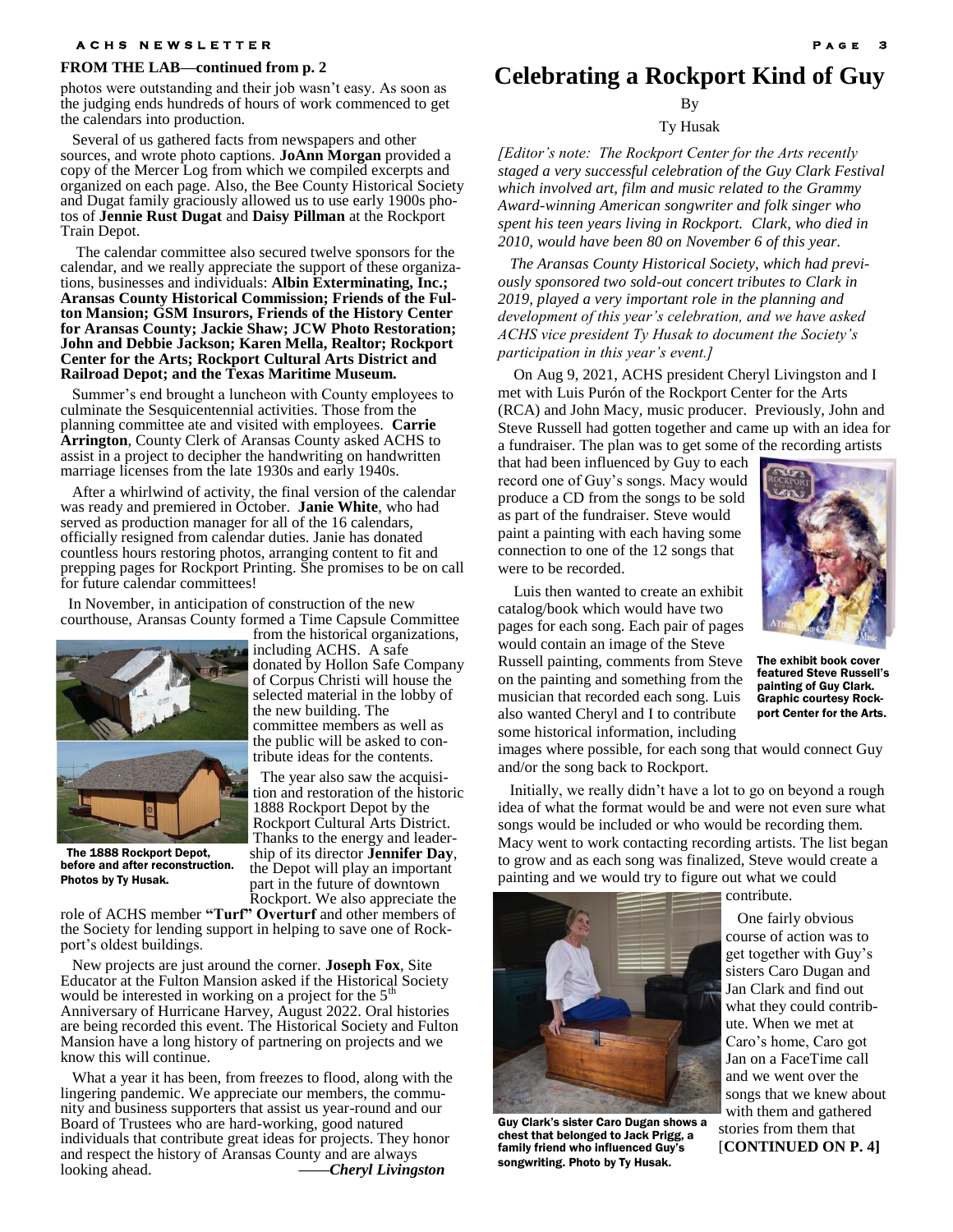#### **A C H S N E W S L E T T E R**

#### **FROM THE LAB—continued from p. 2**

photos were outstanding and their job wasn't easy. As soon as the judging ends hundreds of hours of work commenced to get the calendars into production.

 Several of us gathered facts from newspapers and other sources, and wrote photo captions. **JoAnn Morgan** provided a copy of the Mercer Log from which we compiled excerpts and organized on each page. Also, the Bee County Historical Society and Dugat family graciously allowed us to use early 1900s photos of **Jennie Rust Dugat** and **Daisy Pillman** at the Rockport Train Depot.

 The calendar committee also secured twelve sponsors for the calendar, and we really appreciate the support of these organizations, businesses and individuals: **Albin Exterminating, Inc.; Aransas County Historical Commission; Friends of the Fulton Mansion; GSM Insurors, Friends of the History Center for Aransas County; Jackie Shaw; JCW Photo Restoration; John and Debbie Jackson; Karen Mella, Realtor; Rockport Center for the Arts; Rockport Cultural Arts District and Railroad Depot; and the Texas Maritime Museum.** 

 Summer's end brought a luncheon with County employees to culminate the Sesquicentennial activities. Those from the planning committee ate and visited with employees. **Carrie Arrington**, County Clerk of Aransas County asked ACHS to assist in a project to decipher the handwriting on handwritten marriage licenses from the late 1930s and early 1940s.

 After a whirlwind of activity, the final version of the calendar was ready and premiered in October. **Janie White**, who had served as production manager for all of the 16 calendars, officially resigned from calendar duties. Janie has donated countless hours restoring photos, arranging content to fit and prepping pages for Rockport Printing. She promises to be on call for future calendar committees!

 In November, in anticipation of construction of the new courthouse, Aransas County formed a Time Capsule Committee



 The 1888 Rockport Depot, before and after reconstruction. Photos by Ty Husak.

Rockport. We also appreciate the role of ACHS member **"Turf" Overturf** and other members of the Society for lending support in helping to save one of Rockport's oldest buildings.

The year also saw the acquisi-

ship of its director **Jennifer Day**, the Depot will play an important part in the future of downtown

 New projects are just around the corner. **Joseph Fox**, Site Educator at the Fulton Mansion asked if the Historical Society would be interested in working on a project for the  $5<sup>th</sup>$ Anniversary of Hurricane Harvey, August 2022. Oral histories are being recorded this event. The Historical Society and Fulton Mansion have a long history of partnering on projects and we know this will continue.

 What a year it has been, from freezes to flood, along with the lingering pandemic. We appreciate our members, the community and business supporters that assist us year-round and our Board of Trustees who are hard-working, good natured individuals that contribute great ideas for projects. They honor and respect the history of Aransas County and are always looking ahead. *——Cheryl Livingston*

**Celebrating a Rockport Kind of Guy**

By

Ty Husak

*[Editor's note: The Rockport Center for the Arts recently staged a very successful celebration of the Guy Clark Festival which involved art, film and music related to the Grammy Award-winning American songwriter and folk singer who spent his teen years living in Rockport. Clark, who died in 2010, would have been 80 on November 6 of this year.* 

 *The Aransas County Historical Society, which had previously sponsored two sold-out concert tributes to Clark in 2019, played a very important role in the planning and development of this year's celebration, and we have asked ACHS vice president Ty Husak to document the Society's participation in this year's event.]*

 On Aug 9, 2021, ACHS president Cheryl Livingston and I met with Luis Purón of the Rockport Center for the Arts (RCA) and John Macy, music producer. Previously, John and Steve Russell had gotten together and came up with an idea for a fundraiser. The plan was to get some of the recording artists

that had been influenced by Guy to each record one of Guy's songs. Macy would produce a CD from the songs to be sold as part of the fundraiser. Steve would paint a painting with each having some connection to one of the 12 songs that were to be recorded.



The exhibit book cover featured Steve Russell's painting of Guy Clark. Graphic courtesy Rock-

port Center for the Arts.

 Luis then wanted to create an exhibit catalog/book which would have two pages for each song. Each pair of pages would contain an image of the Steve

Russell painting, comments from Steve on the painting and something from the musician that recorded each song. Luis also wanted Cheryl and I to contribute some historical information, including

images where possible, for each song that would connect Guy and/or the song back to Rockport.

 Initially, we really didn't have a lot to go on beyond a rough idea of what the format would be and were not even sure what songs would be included or who would be recording them. Macy went to work contacting recording artists. The list began to grow and as each song was finalized, Steve would create a painting and we would try to figure out what we could



Guy Clark's sister Caro Dugan shows a chest that belonged to Jack Prigg, a family friend who influenced Guy' songwriting. Photo by Ty Husak.

 One fairly obvious course of action was to get together with Guy's sisters Caro Dugan and Jan Clark and find out what they could contribute. When we met at Caro's home, Caro got Jan on a FaceTime call and we went over the songs that we knew about with them and gathered stories from them that [**CONTINUED ON P. 4]**